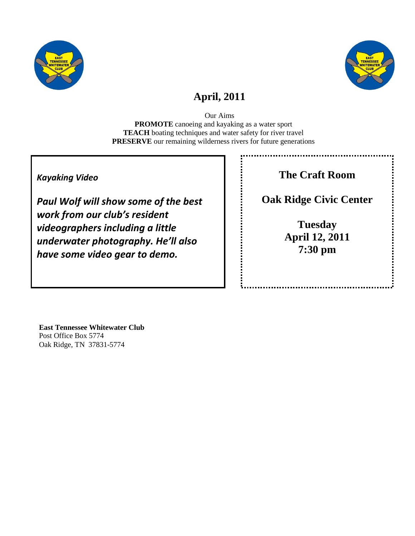



## **April, 2011**

Our Aims **PROMOTE** canoeing and kayaking as a water sport **TEACH** boating techniques and water safety for river travel **PRESERVE** our remaining wilderness rivers for future generations

### *Kayaking Video*

*Paul Wolf will show some of the best work from our club's resident videographers including a little underwater photography. He'll also have some video gear to demo.*

**The Craft Room**

**Oak Ridge Civic Center**

**Tuesday April 12, 2011 7:30 pm**

**East Tennessee Whitewater Club** Post Office Box 5774 Oak Ridge, TN 37831-5774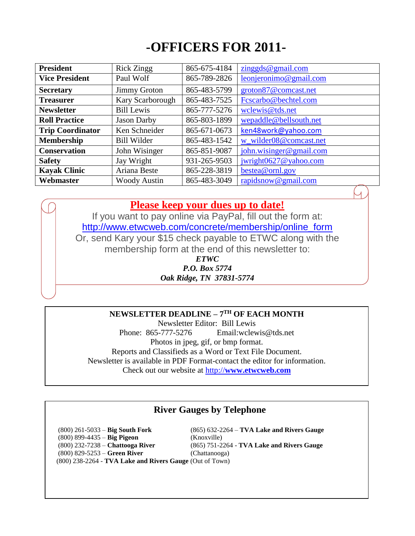# **-OFFICERS FOR 2011-**

| <b>President</b>        | <b>Rick Zingg</b>   | 865-675-4184 | zinggds@gmail.com       |  |  |
|-------------------------|---------------------|--------------|-------------------------|--|--|
| <b>Vice President</b>   | Paul Wolf           | 865-789-2826 | leonjeronimo@gmail.com  |  |  |
| <b>Secretary</b>        | <b>Jimmy Groton</b> | 865-483-5799 | groton87@comcast.net    |  |  |
| <b>Treasurer</b>        | Kary Scarborough    | 865-483-7525 | Fcscarbo@bechtel.com    |  |  |
| <b>Newsletter</b>       | <b>Bill Lewis</b>   | 865-777-5276 | wclewis@tds.net         |  |  |
| <b>Roll Practice</b>    | <b>Jason Darby</b>  | 865-803-1899 | wepaddle@bellsouth.net  |  |  |
| <b>Trip Coordinator</b> | Ken Schneider       | 865-671-0673 | ken48work@yahoo.com     |  |  |
| <b>Membership</b>       | <b>Bill Wilder</b>  | 865-483-1542 | w_wilder08@comcast.net  |  |  |
| <b>Conservation</b>     | John Wisinger       | 865-851-9087 | john.wisinger@gmail.com |  |  |
| <b>Safety</b>           | Jay Wright          | 931-265-9503 | jwright0627@yahoo.com   |  |  |
| <b>Kayak Clinic</b>     | Ariana Beste        | 865-228-3819 | bestea@ornl.gov         |  |  |
| Webmaster               | <b>Woody Austin</b> | 865-483-3049 | rapidsnow@gmail.com     |  |  |

### **Please keep your dues up to date!**

If you want to pay online via PayPal, fill out the form at: [http://www.etwcweb.com/concrete/membership/online\\_form](http://www.etwcweb.com/concrete/membership/online_form) Or, send Kary your \$15 check payable to ETWC along with the membership form at the end of this newsletter to: *ETWC*

*P.O. Box 5774 Oak Ridge, TN 37831-5774*

### **NEWSLETTER DEADLINE – 7 TH OF EACH MONTH**

Newsletter Editor: Bill Lewis Phone: 865-777-5276 Email:wclewis@tds.net Photos in jpeg, gif, or bmp format. Reports and Classifieds as a Word or Text File Document. Newsletter is available in PDF Format-contact the editor for information. Check out our website at http://**[www.etwcweb.com](http://www.etwcweb.com/)**

### **River Gauges by Telephone**

(800) 261-5033 – **Big South Fork** (865) 632-2264 – **TVA Lake and Rivers Gauge** (800) 899-4435 – **Big Pigeon** (Knoxville) (800) 232-7238 – **Chattooga River** (865) 751-2264 - **TVA Lake and Rivers Gauge** (800) 829-5253 – **Green River** (Chattanooga) (800) 238-2264 - **TVA Lake and Rivers Gauge** (Out of Town)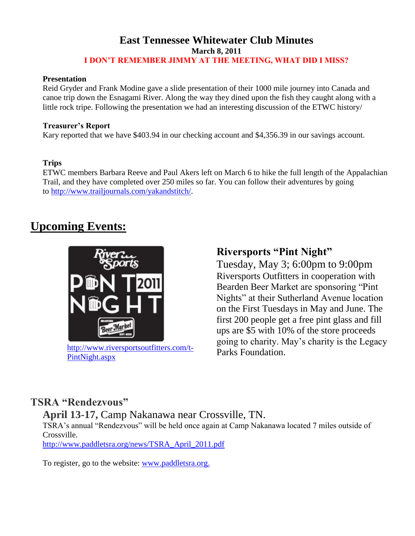### **East Tennessee Whitewater Club Minutes March 8, 2011 I DON'T REMEMBER JIMMY AT THE MEETING, WHAT DID I MISS?**

#### **Presentation**

Reid Gryder and Frank Modine gave a slide presentation of their 1000 mile journey into Canada and canoe trip down the Esnagami River. Along the way they dined upon the fish they caught along with a little rock tripe. Following the presentation we had an interesting discussion of the ETWC history/

#### **Treasurer's Report**

Kary reported that we have \$403.94 in our checking account and \$4,356.39 in our savings account.

### **Trips**

ETWC members Barbara Reeve and Paul Akers left on March 6 to hike the full length of the Appalachian Trail, and they have completed over 250 miles so far. You can follow their adventures by going to [http://www.trailjournals.com/yakandstitch/.](http://www.trailjournals.com/yakandstitch/)

## **Upcoming Events:**



[http://www.riversportsoutfitters.com/t-](http://www.riversportsoutfitters.com/t-PintNight.aspx)[PintNight.aspx](http://www.riversportsoutfitters.com/t-PintNight.aspx)

## **Riversports "Pint Night"**

Tuesday, May 3; 6:00pm to 9:00pm Riversports Outfitters in cooperation with Bearden Beer Market are sponsoring "Pint Nights" at their Sutherland Avenue location on the First Tuesdays in May and June. The first 200 people get a free pint glass and fill ups are \$5 with 10% of the store proceeds going to charity. May's charity is the Legacy Parks Foundation.

## **TSRA "Rendezvous"**

**April 13-17,** Camp Nakanawa near Crossville, TN.

TSRA's annual "Rendezvous" will be held once again at Camp Nakanawa located 7 miles outside of Crossville.

[http://www.paddletsra.org/news/TSRA\\_April\\_2011.pdf](http://www.paddletsra.org/news/TSRA_April_2011.pdf)

To register, go to the website: [www.paddletsra.org.](file:///C:/Users/bill/Documents/ETWC%20Newsletters/www.paddletsra.org)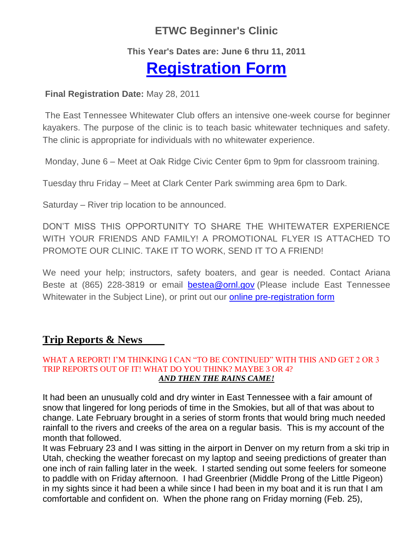## **ETWC Beginner's Clinic**

### **This Year's Dates are: June 6 thru 11, 2011**

# **[Registration Form](http://www.etwcweb.com/concrete/summer_clinic/summer_clinic_form)**

### **Final Registration Date:** May 28, 2011

The East Tennessee Whitewater Club offers an intensive one-week course for beginner kayakers. The purpose of the clinic is to teach basic whitewater techniques and safety. The clinic is appropriate for individuals with no whitewater experience.

Monday, June 6 – Meet at Oak Ridge Civic Center 6pm to 9pm for classroom training.

Tuesday thru Friday – Meet at Clark Center Park swimming area 6pm to Dark.

Saturday – River trip location to be announced.

DON'T MISS THIS OPPORTUNITY TO SHARE THE WHITEWATER EXPERIENCE WITH YOUR FRIENDS AND FAMILY! A PROMOTIONAL FLYER IS ATTACHED TO PROMOTE OUR CLINIC. TAKE IT TO WORK, SEND IT TO A FRIEND!

We need your help; instructors, safety boaters, and gear is needed. Contact Ariana Beste at (865) 228-3819 or email **[bestea@ornl.gov](mailto:bestea@ornl.gov)** (Please include East Tennessee Whitewater in the Subject Line), or print out our **online pre-registration form** 

## **Trip Reports & News**

### WHAT A REPORT! I'M THINKING I CAN "TO BE CONTINUED" WITH THIS AND GET 2 OR 3 TRIP REPORTS OUT OF IT! WHAT DO YOU THINK? MAYBE 3 OR 4? *AND THEN THE RAINS CAME!*

It had been an unusually cold and dry winter in East Tennessee with a fair amount of snow that lingered for long periods of time in the Smokies, but all of that was about to change. Late February brought in a series of storm fronts that would bring much needed rainfall to the rivers and creeks of the area on a regular basis. This is my account of the month that followed.

It was February 23 and I was sitting in the airport in Denver on my return from a ski trip in Utah, checking the weather forecast on my laptop and seeing predictions of greater than one inch of rain falling later in the week. I started sending out some feelers for someone to paddle with on Friday afternoon. I had Greenbrier (Middle Prong of the Little Pigeon) in my sights since it had been a while since I had been in my boat and it is run that I am comfortable and confident on. When the phone rang on Friday morning (Feb. 25),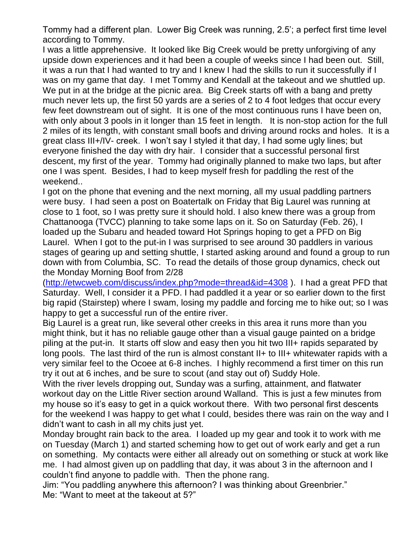Tommy had a different plan. Lower Big Creek was running, 2.5'; a perfect first time level according to Tommy.

I was a little apprehensive. It looked like Big Creek would be pretty unforgiving of any upside down experiences and it had been a couple of weeks since I had been out. Still, it was a run that I had wanted to try and I knew I had the skills to run it successfully if I was on my game that day. I met Tommy and Kendall at the takeout and we shuttled up. We put in at the bridge at the picnic area. Big Creek starts off with a bang and pretty much never lets up, the first 50 yards are a series of 2 to 4 foot ledges that occur every few feet downstream out of sight. It is one of the most continuous runs I have been on, with only about 3 pools in it longer than 15 feet in length. It is non-stop action for the full 2 miles of its length, with constant small boofs and driving around rocks and holes. It is a great class III+/IV- creek. I won't say I styled it that day, I had some ugly lines; but everyone finished the day with dry hair. I consider that a successful personal first descent, my first of the year. Tommy had originally planned to make two laps, but after one I was spent. Besides, I had to keep myself fresh for paddling the rest of the weekend..

I got on the phone that evening and the next morning, all my usual paddling partners were busy. I had seen a post on Boatertalk on Friday that Big Laurel was running at close to 1 foot, so I was pretty sure it should hold. I also knew there was a group from Chattanooga (TVCC) planning to take some laps on it. So on Saturday (Feb. 26), I loaded up the Subaru and headed toward Hot Springs hoping to get a PFD on Big Laurel. When I got to the put-in I was surprised to see around 30 paddlers in various stages of gearing up and setting shuttle, I started asking around and found a group to run down with from Columbia, SC. To read the details of those group dynamics, check out the Monday Morning Boof from 2/28

[\(http://etwcweb.com/discuss/index.php?mode=thread&id=4308](http://etwcweb.com/discuss/index.php?mode=thread&id=4308) ). I had a great PFD that Saturday. Well, I consider it a PFD. I had paddled it a year or so earlier down to the first big rapid (Stairstep) where I swam, losing my paddle and forcing me to hike out; so I was happy to get a successful run of the entire river.

Big Laurel is a great run, like several other creeks in this area it runs more than you might think, but it has no reliable gauge other than a visual gauge painted on a bridge piling at the put-in. It starts off slow and easy then you hit two III+ rapids separated by long pools. The last third of the run is almost constant II+ to III+ whitewater rapids with a very similar feel to the Ocoee at 6-8 inches. I highly recommend a first timer on this run try it out at 6 inches, and be sure to scout (and stay out of) Suddy Hole.

With the river levels dropping out, Sunday was a surfing, attainment, and flatwater workout day on the Little River section around Walland. This is just a few minutes from my house so it's easy to get in a quick workout there. With two personal first descents for the weekend I was happy to get what I could, besides there was rain on the way and I didn't want to cash in all my chits just yet.

Monday brought rain back to the area. I loaded up my gear and took it to work with me on Tuesday (March 1) and started scheming how to get out of work early and get a run on something. My contacts were either all already out on something or stuck at work like me. I had almost given up on paddling that day, it was about 3 in the afternoon and I couldn't find anyone to paddle with. Then the phone rang.

Jim: "You paddling anywhere this afternoon? I was thinking about Greenbrier." Me: "Want to meet at the takeout at 5?"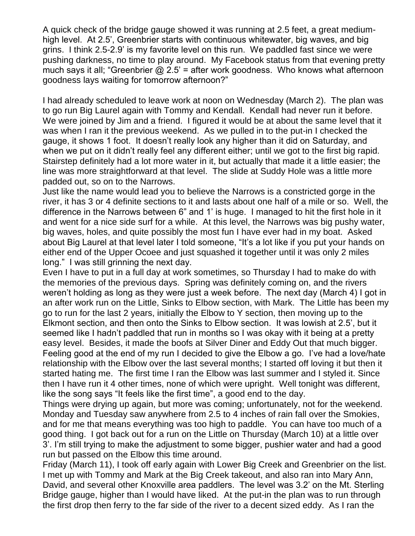A quick check of the bridge gauge showed it was running at 2.5 feet, a great mediumhigh level. At 2.5', Greenbrier starts with continuous whitewater, big waves, and big grins. I think 2.5-2.9' is my favorite level on this run. We paddled fast since we were pushing darkness, no time to play around. My Facebook status from that evening pretty much says it all; "Greenbrier  $@$  2.5' = after work goodness. Who knows what afternoon goodness lays waiting for tomorrow afternoon?"

I had already scheduled to leave work at noon on Wednesday (March 2). The plan was to go run Big Laurel again with Tommy and Kendall. Kendall had never run it before. We were joined by Jim and a friend. I figured it would be at about the same level that it was when I ran it the previous weekend. As we pulled in to the put-in I checked the gauge, it shows 1 foot. It doesn't really look any higher than it did on Saturday, and when we put on it didn't really feel any different either; until we got to the first big rapid. Stairstep definitely had a lot more water in it, but actually that made it a little easier; the line was more straightforward at that level. The slide at Suddy Hole was a little more padded out, so on to the Narrows.

Just like the name would lead you to believe the Narrows is a constricted gorge in the river, it has 3 or 4 definite sections to it and lasts about one half of a mile or so. Well, the difference in the Narrows between 6" and 1' is huge. I managed to hit the first hole in it and went for a nice side surf for a while. At this level, the Narrows was big pushy water, big waves, holes, and quite possibly the most fun I have ever had in my boat. Asked about Big Laurel at that level later I told someone, "It's a lot like if you put your hands on either end of the Upper Ocoee and just squashed it together until it was only 2 miles long." I was still grinning the next day.

Even I have to put in a full day at work sometimes, so Thursday I had to make do with the memories of the previous days. Spring was definitely coming on, and the rivers weren't holding as long as they were just a week before. The next day (March 4) I got in an after work run on the Little, Sinks to Elbow section, with Mark. The Little has been my go to run for the last 2 years, initially the Elbow to Y section, then moving up to the Elkmont section, and then onto the Sinks to Elbow section. It was lowish at 2.5', but it seemed like I hadn't paddled that run in months so I was okay with it being at a pretty easy level. Besides, it made the boofs at Silver Diner and Eddy Out that much bigger. Feeling good at the end of my run I decided to give the Elbow a go. I've had a love/hate relationship with the Elbow over the last several months; I started off loving it but then it started hating me. The first time I ran the Elbow was last summer and I styled it. Since then I have run it 4 other times, none of which were upright. Well tonight was different, like the song says "It feels like the first time", a good end to the day.

Things were drying up again, but more was coming; unfortunately, not for the weekend. Monday and Tuesday saw anywhere from 2.5 to 4 inches of rain fall over the Smokies, and for me that means everything was too high to paddle. You can have too much of a good thing. I got back out for a run on the Little on Thursday (March 10) at a little over 3'. I'm still trying to make the adjustment to some bigger, pushier water and had a good run but passed on the Elbow this time around.

Friday (March 11), I took off early again with Lower Big Creek and Greenbrier on the list. I met up with Tommy and Mark at the Big Creek takeout, and also ran into Mary Ann, David, and several other Knoxville area paddlers. The level was 3.2' on the Mt. Sterling Bridge gauge, higher than I would have liked. At the put-in the plan was to run through the first drop then ferry to the far side of the river to a decent sized eddy. As I ran the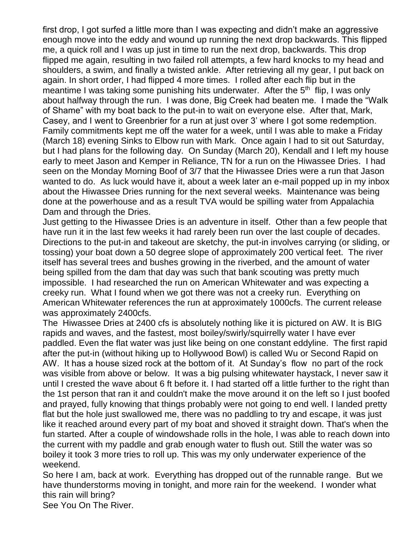first drop, I got surfed a little more than I was expecting and didn't make an aggressive enough move into the eddy and wound up running the next drop backwards. This flipped me, a quick roll and I was up just in time to run the next drop, backwards. This drop flipped me again, resulting in two failed roll attempts, a few hard knocks to my head and shoulders, a swim, and finally a twisted ankle. After retrieving all my gear, I put back on again. In short order, I had flipped 4 more times. I rolled after each flip but in the meantime I was taking some punishing hits underwater. After the 5<sup>th</sup> flip, I was only about halfway through the run. I was done, Big Creek had beaten me. I made the "Walk of Shame" with my boat back to the put-in to wait on everyone else. After that, Mark, Casey, and I went to Greenbrier for a run at just over 3' where I got some redemption. Family commitments kept me off the water for a week, until I was able to make a Friday (March 18) evening Sinks to Elbow run with Mark. Once again I had to sit out Saturday, but I had plans for the following day. On Sunday (March 20), Kendall and I left my house early to meet Jason and Kemper in Reliance, TN for a run on the Hiwassee Dries. I had seen on the Monday Morning Boof of 3/7 that the Hiwassee Dries were a run that Jason wanted to do. As luck would have it, about a week later an e-mail popped up in my inbox about the Hiwassee Dries running for the next several weeks. Maintenance was being done at the powerhouse and as a result TVA would be spilling water from Appalachia Dam and through the Dries.

Just getting to the Hiwassee Dries is an adventure in itself. Other than a few people that have run it in the last few weeks it had rarely been run over the last couple of decades. Directions to the put-in and takeout are sketchy, the put-in involves carrying (or sliding, or tossing) your boat down a 50 degree slope of approximately 200 vertical feet. The river itself has several trees and bushes growing in the riverbed, and the amount of water being spilled from the dam that day was such that bank scouting was pretty much impossible. I had researched the run on American Whitewater and was expecting a creeky run. What I found when we got there was not a creeky run. Everything on American Whitewater references the run at approximately 1000cfs. The current release was approximately 2400cfs.

The Hiwassee Dries at 2400 cfs is absolutely nothing like it is pictured on AW. It is BIG rapids and waves, and the fastest, most boiley/swirly/squirrelly water I have ever paddled. Even the flat water was just like being on one constant eddyline. The first rapid after the put-in (without hiking up to Hollywood Bowl) is called Wu or Second Rapid on AW. It has a house sized rock at the bottom of it. At Sunday's flow no part of the rock was visible from above or below. It was a big pulsing whitewater haystack, I never saw it until I crested the wave about 6 ft before it. I had started off a little further to the right than the 1st person that ran it and couldn't make the move around it on the left so I just boofed and prayed, fully knowing that things probably were not going to end well. I landed pretty flat but the hole just swallowed me, there was no paddling to try and escape, it was just like it reached around every part of my boat and shoved it straight down. That's when the fun started. After a couple of windowshade rolls in the hole, I was able to reach down into the current with my paddle and grab enough water to flush out. Still the water was so boiley it took 3 more tries to roll up. This was my only underwater experience of the weekend.

So here I am, back at work. Everything has dropped out of the runnable range. But we have thunderstorms moving in tonight, and more rain for the weekend. I wonder what this rain will bring?

See You On The River.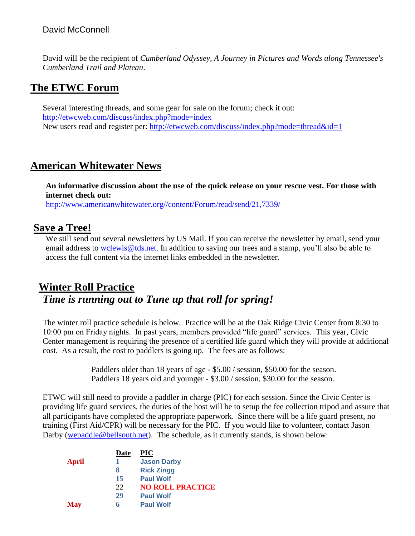### David McConnell

David will be the recipient of *Cumberland Odyssey, A Journey in Pictures and Words along Tennessee's Cumberland Trail and Plateau*.

## **The ETWC Forum**

Several interesting threads, and some gear for sale on the forum; check it out: <http://etwcweb.com/discuss/index.php?mode=index> New users read and register per:<http://etwcweb.com/discuss/index.php?mode=thread&id=1>

## **American Whitewater News**

**An informative discussion about the use of the quick release on your rescue vest. For those with internet check out:**

[http://www.americanwhitewater.org//content/Forum/read/send/21,7339/](http://www.americanwhitewater.org/content/Forum/read/send/21,7339/)

### **Save a Tree!**

We still send out several newsletters by US Mail. If you can receive the newsletter by email, send your email address to [wclewis@tds.net.](mailto:wclewis@tds.net) In addition to saving our trees and a stamp, you'll also be able to access the full content via the internet links embedded in the newsletter.

## **Winter Roll Practice** *Time is running out to Tune up that roll for spring!*

The winter roll practice schedule is below. Practice will be at the Oak Ridge Civic Center from 8:30 to 10:00 pm on Friday nights. In past years, members provided "life guard" services. This year, Civic Center management is requiring the presence of a certified life guard which they will provide at additional cost. As a result, the cost to paddlers is going up. The fees are as follows:

> Paddlers older than 18 years of age - \$5.00 / session, \$50.00 for the season. Paddlers 18 years old and younger - \$3.00 / session, \$30.00 for the season.

ETWC will still need to provide a paddler in charge (PIC) for each session. Since the Civic Center is providing life guard services, the duties of the host will be to setup the fee collection tripod and assure that all participants have completed the appropriate paperwork. Since there will be a life guard present, no training (First Aid/CPR) will be necessary for the PIC. If you would like to volunteer, contact Jason Darby [\(wepaddle@bellsouth.net\)](mailto:wepaddle@bellsouth.net). The schedule, as it currently stands, is shown below:

|              | Date | <b>PIC</b>              |
|--------------|------|-------------------------|
| <b>April</b> | 1    | <b>Jason Darby</b>      |
|              | 8    | <b>Rick Zingg</b>       |
|              | 15   | <b>Paul Wolf</b>        |
|              | 22   | <b>NO ROLL PRACTICE</b> |
|              | 29   | <b>Paul Wolf</b>        |
| <b>May</b>   | 6    | <b>Paul Wolf</b>        |
|              |      |                         |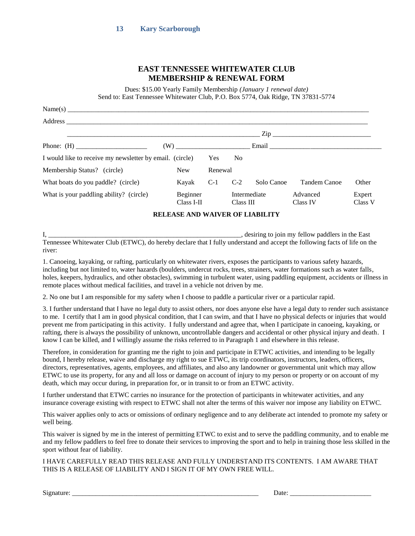#### **EAST TENNESSEE WHITEWATER CLUB MEMBERSHIP & RENEWAL FORM**

Dues: \$15.00 Yearly Family Membership *(January 1 renewal date)* Send to: East Tennessee Whitewater Club, P.O. Box 5774, Oak Ridge, TN 37831-5774

|                                                          |                        |            |                |              | $\mathsf{Zip}\_$                                                                                                                                                                                                               |                   |  |  |  |  |
|----------------------------------------------------------|------------------------|------------|----------------|--------------|--------------------------------------------------------------------------------------------------------------------------------------------------------------------------------------------------------------------------------|-------------------|--|--|--|--|
|                                                          | (W)                    |            |                |              | Email and the same state of the state of the state of the state of the state of the state of the state of the state of the state of the state of the state of the state of the state of the state of the state of the state of |                   |  |  |  |  |
| I would like to receive my newsletter by email. (circle) |                        | <b>Yes</b> | N <sub>0</sub> |              |                                                                                                                                                                                                                                |                   |  |  |  |  |
| Membership Status? (circle)                              | <b>New</b>             | Renewal    |                |              |                                                                                                                                                                                                                                |                   |  |  |  |  |
| What boats do you paddle? (circle)                       | Kayak                  | $C-1$      | $C-2$          | Solo Canoe   | Tandem Canoe                                                                                                                                                                                                                   | Other             |  |  |  |  |
| What is your paddling ability? (circle)                  | Beginner<br>Class I-II |            | Class III      | Intermediate | Advanced<br>Class IV                                                                                                                                                                                                           | Expert<br>Class V |  |  |  |  |

**RELEASE AND WAIVER OF LIABILITY**

I, \_\_\_\_\_\_\_\_\_\_\_\_\_\_\_\_\_\_\_\_\_\_\_\_\_\_\_\_\_\_\_\_\_\_\_\_\_\_\_\_\_\_\_\_\_\_\_\_\_\_\_\_\_\_\_\_\_, desiring to join my fellow paddlers in the East Tennessee Whitewater Club (ETWC), do hereby declare that I fully understand and accept the following facts of life on the river:

1. Canoeing, kayaking, or rafting, particularly on whitewater rivers, exposes the participants to various safety hazards, including but not limited to, water hazards (boulders, undercut rocks, trees, strainers, water formations such as water falls, holes, keepers, hydraulics, and other obstacles), swimming in turbulent water, using paddling equipment, accidents or illness in remote places without medical facilities, and travel in a vehicle not driven by me.

2. No one but I am responsible for my safety when I choose to paddle a particular river or a particular rapid.

3. I further understand that I have no legal duty to assist others, nor does anyone else have a legal duty to render such assistance to me. I certify that I am in good physical condition, that I can swim, and that I have no physical defects or injuries that would prevent me from participating in this activity. I fully understand and agree that, when I participate in canoeing, kayaking, or rafting, there is always the possibility of unknown, uncontrollable dangers and accidental or other physical injury and death. I know I can be killed, and I willingly assume the risks referred to in Paragraph 1 and elsewhere in this release.

Therefore, in consideration for granting me the right to join and participate in ETWC activities, and intending to be legally bound, I hereby release, waive and discharge my right to sue ETWC, its trip coordinators, instructors, leaders, officers, directors, representatives, agents, employees, and affiliates, and also any landowner or governmental unit which may allow ETWC to use its property, for any and all loss or damage on account of injury to my person or property or on account of my death, which may occur during, in preparation for, or in transit to or from an ETWC activity.

I further understand that ETWC carries no insurance for the protection of participants in whitewater activities, and any insurance coverage existing with respect to ETWC shall not alter the terms of this waiver nor impose any liability on ETWC.

This waiver applies only to acts or omissions of ordinary negligence and to any deliberate act intended to promote my safety or well being.

This waiver is signed by me in the interest of permitting ETWC to exist and to serve the paddling community, and to enable me and my fellow paddlers to feel free to donate their services to improving the sport and to help in training those less skilled in the sport without fear of liability.

I HAVE CAREFULLY READ THIS RELEASE AND FULLY UNDERSTAND ITS CONTENTS. I AM AWARE THAT THIS IS A RELEASE OF LIABILITY AND I SIGN IT OF MY OWN FREE WILL.

Signature: \_\_\_\_\_\_\_\_\_\_\_\_\_\_\_\_\_\_\_\_\_\_\_\_\_\_\_\_\_\_\_\_\_\_\_\_\_\_\_\_\_\_\_\_\_\_\_\_\_\_\_\_\_\_\_ Date: \_\_\_\_\_\_\_\_\_\_\_\_\_\_\_\_\_\_\_\_\_\_\_\_